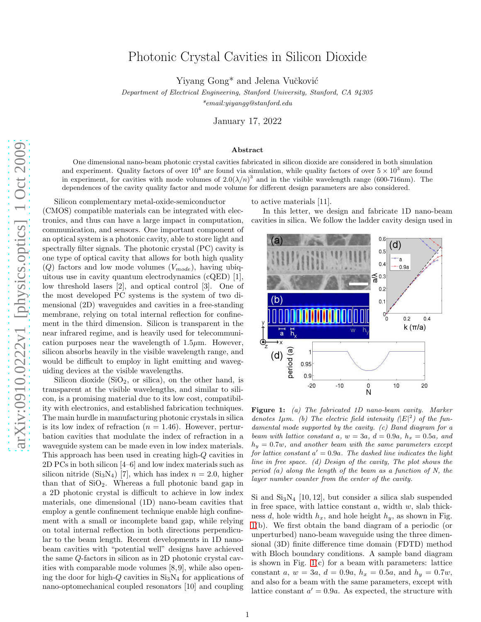## Photonic Crystal Cavities in Silicon Dioxide

Yiyang Gong<sup>\*</sup> and Jelena Vučković

Department of Electrical Engineering, Stanford University, Stanford, CA 94305

\*email:yiyangg@stanford.edu

January 17, 2022

## Abstract

One dimensional nano-beam photonic crystal cavities fabricated in silicon dioxide are considered in both simulation and experiment. Quality factors of over  $10^4$  are found via simulation, while quality factors of over  $5 \times 10^3$  are found in experiment, for cavities with mode volumes of  $2.0(\lambda/n)^3$  and in the visible wavelength range (600-716nm). The dependences of the cavity quality factor and mode volume for different design parameters are also considered.

Silicon complementary metal-oxide-semiconductor (CMOS) compatible materials can be integrated with electronics, and thus can have a large impact in computation, communication, and sensors. One important component of an optical system is a photonic cavity, able to store light and spectrally filter signals. The photonic crystal (PC) cavity is one type of optical cavity that allows for both high quality  $(Q)$  factors and low mode volumes  $(V_{mode})$ , having ubiquitous use in cavity quantum electrodynamics (cQED) [1], low threshold lasers [2], and optical control [3]. One of the most developed PC systems is the system of two dimensional (2D) waveguides and cavities in a free-standing membrane, relying on total internal reflection for confinement in the third dimension. Silicon is transparent in the near infrared regime, and is heavily used for telecommunication purposes near the wavelength of  $1.5\mu$ m. However, silicon absorbs heavily in the visible wavelength range, and would be difficult to employ in light emitting and waveguiding devices at the visible wavelengths.

Silicon dioxide  $(SiO<sub>2</sub>, or silica),$  on the other hand, is transparent at the visible wavelengths, and similar to silicon, is a promising material due to its low cost, compatibility with electronics, and established fabrication techniques. The main hurdle in manufacturing photonic crystals in silica is its low index of refraction  $(n = 1.46)$ . However, perturbation cavities that modulate the index of refraction in a waveguide system can be made even in low index materials. This approach has been used in creating high-Q cavities in 2D PCs in both silicon [4–6] and low index materials such as silicon nitride  $(Si_3N_4)$  [7], which has index  $n = 2.0$ , higher than that of  $SiO<sub>2</sub>$ . Whereas a full photonic band gap in a 2D photonic crystal is difficult to achieve in low index materials, one dimensional (1D) nano-beam cavities that employ a gentle confinement technique enable high confinement with a small or incomplete band gap, while relying on total internal reflection in both directions perpendicular to the beam length. Recent developments in 1D nanobeam cavities with "potential well" designs have achieved the same Q-factors in silicon as in 2D photonic crystal cavities with comparable mode volumes [8, 9], while also opening the door for high- $Q$  cavities in  $Si<sub>3</sub>N<sub>4</sub>$  for applications of nano-optomechanical coupled resonators [10] and coupling to active materials [11].

In this letter, we design and fabricate 1D nano-beam cavities in silica. We follow the ladder cavity design used in



<span id="page-0-0"></span>Figure 1: (a) The fabricated 1D nano-beam cavity. Marker denotes  $1\mu m$ . (b) The electric field intensity  $(|E|^2)$  of the fundamental mode supported by the cavity. (c) Band diagram for a beam with lattice constant a,  $w = 3a$ ,  $d = 0.9a$ ,  $h_x = 0.5a$ , and  $h_y = 0.7w$ , and another beam with the same parameters except for lattice constant  $a' = 0.9a$ . The dashed line indicates the light line in free space. (d) Design of the cavity, The plot shows the period (a) along the length of the beam as a function of N, the layer number counter from the center of the cavity.

Si and  $Si<sub>3</sub>N<sub>4</sub>$  [10, 12], but consider a silica slab suspended in free space, with lattice constant  $a$ , width  $w$ , slab thickness d, hole width  $h_x$ , and hole height  $h_y$ , as shown in Fig. [1\(](#page-0-0)b). We first obtain the band diagram of a periodic (or unperturbed) nano-beam waveguide using the three dimensional (3D) finite difference time domain (FDTD) method with Bloch boundary conditions. A sample band diagram is shown in Fig.  $1(c)$  for a beam with parameters: lattice constant a,  $w = 3a$ ,  $d = 0.9a$ ,  $h_x = 0.5a$ , and  $h_y = 0.7w$ , and also for a beam with the same parameters, except with lattice constant  $a' = 0.9a$ . As expected, the structure with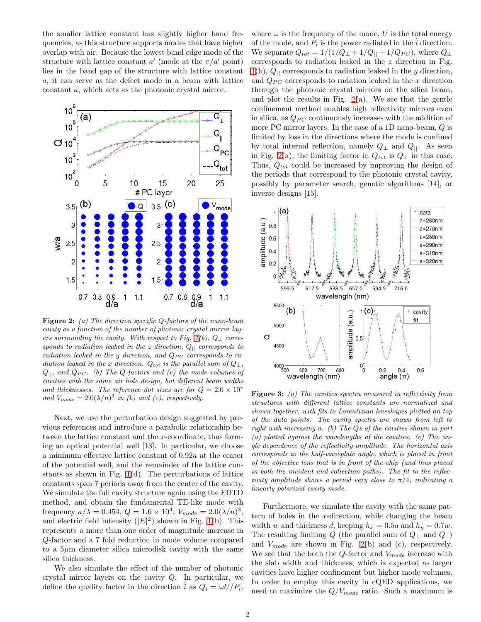the smaller lattice constant has slightly higher band frequencies, as this structure supports modes that have higher overlap with air. Because the lowest band edge mode of the structure with lattice constant  $a'$  (mode at the  $\pi/a'$  point) lies in the band gap of the structure with lattice constant a, it can serve as the defect mode in a beam with lattice constant a, which acts as the photonic crystal mirror.



<span id="page-1-0"></span>Figure 2: (a) The direction specific Q-factors of the nano-beam cavity as a function of the number of photonic crystal mirror lay-ers surrounding the cavity. With respect to Fig. [1\(](#page-0-0)b),  $Q_{\perp}$  corresponds to radiation leaked in the z direction,  $Q_{||}$  corresponds to radiation leaked in the y direction, and  $Q_{PC}$  corresponds to radiation leaked in the x direction.  $Q_{tot}$  is the parallel sum of  $Q_{\perp}$ ,  $Q_{\parallel}$ , and  $Q_{PC}$ . (b) The Q-factors and (c) the mode volumes of cavities with the same air hole design, but different beam widths and thicknesses. The reference dot sizes are for  $Q = 2.0 \times 10^4$ and  $V_{mode} = 2.0(\lambda/n)^3$  in (b) and (c), respectively.

Next, we use the perturbation design suggested by previous references and introduce a parabolic relationship between the lattice constant and the x-coordinate, thus forming an optical potential well [13]. In particular, we choose a minimum effective lattice constant of 0.92a at the center of the potential well, and the remainder of the lattice constants as shown in Fig. [1\(](#page-0-0)d). The perturbations of lattice constants span 7 periods away from the center of the cavity. We simulate the full cavity structure again using the FDTD method, and obtain the fundamental TE-like mode with frequency  $a/\lambda = 0.454, Q = 1.6 \times 10^4, V_{mode} = 2.0(\lambda/n)^3,$ and electric field intensity  $(|E|^2)$  shown in Fig. [1\(](#page-0-0)b). This represents a more than one order of magnitude increase in Q-factor and a 7 fold reduction in mode volume compared to a  $5\mu$ m diameter silica microdisk cavity with the same silica thickness.

We also simulate the effect of the number of photonic crystal mirror layers on the cavity Q. In particular, we define the quality factor in the direction  $\hat{i}$  as  $Q_i = \omega U/P_i$ ,

where  $\omega$  is the frequency of the mode, U is the total energy of the mode, and  $P_i$  is the power radiated in the  $\hat{i}$  direction. We separate  $Q_{tot} = 1/(1/Q_{\perp} + 1/Q_{\parallel} + 1/Q_{PC})$ , where  $Q_{\perp}$ corresponds to radiation leaked in the z direction in Fig.  $1(b)$  $1(b)$ ,  $Q_{\parallel}$  corresponds to radiation leaked in the y direction, and  $Q_{PC}$  corresponds to radation leaked in the x direction through the photonic crystal mirrors on the silica beam, and plot the results in Fig.  $2(a)$ . We see that the gentle confinement method enables high reflectivity mirrors even in silica, as  $Q_{PC}$  continuously increases with the addition of more PC mirror layers. In the case of a 1D nano-beam, Q is limited by loss in the directions where the mode is confined by total internal reflection, namely  $Q_{\perp}$  and  $Q_{\parallel}$ . As seen in Fig. [2\(](#page-1-0)a), the limiting factor in  $Q_{tot}$  is  $Q_{\perp}$  in this case. Thus,  $Q_{tot}$  could be increased by improving the design of the periods that correspond to the photonic crystal cavity, possibly by parameter search, genetic algorithms [14], or inverse designs [15].



<span id="page-1-1"></span>**Figure 3:** (a) The cavities spectra measured in reflectivity from structures with different lattice constants are normalized and shown together, with fits to Lorentizian lineshapes plotted on top of the data points. The cavity spectra are shown from left to right with increasing a. (b) The Qs of the cavities shown in part  $(a)$  plotted against the wavelengths of the cavities.  $(c)$  The angle dependence of the reflectivity amplitude. The horizontal axis corresponds to the half-waveplate angle, which is placed in front of the objective lens that is in front of the chip (and thus placed in both the incident and collection paths). The fit to the reflectivity amplitude shows a period very close to  $\pi/4$ , indicating a linearly polarized cavity mode.

Furthermore, we simulate the cavity with the same pattern of holes in the x-direction, while changing the beam width w and thickness d, keeping  $h_x = 0.5a$  and  $h_y = 0.7w$ . The resulting limiting Q (the parallel sum of  $Q_{\perp}$  and  $Q_{\parallel}$ ) and  $V_{mode}$  are shown in Fig. [2\(](#page-1-0)b) and (c), respectively. We see that the both the  $Q$ -factor and  $V_{mode}$  increase with the slab width and thickness, which is expected as larger cavities have higher confinement but higher mode volumes. In order to employ this cavity in cQED applications, we need to maximize the  $Q/V_{mode}$  ratio. Such a maximum is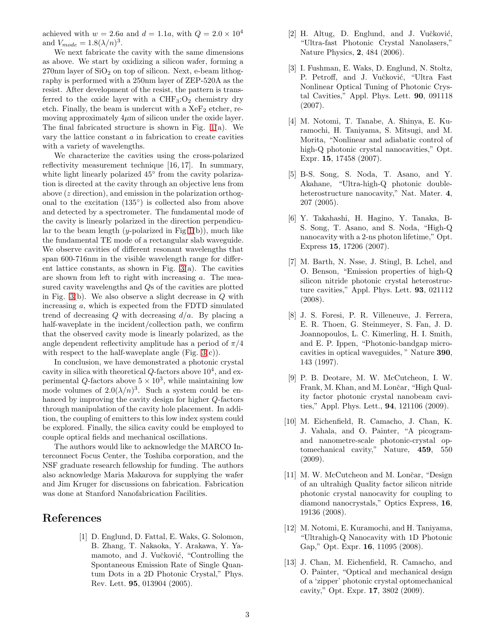achieved with  $w = 2.6a$  and  $d = 1.1a$ , with  $Q = 2.0 \times 10^4$ and  $V_{mode} = 1.8(\lambda/n)^3$ .

We next fabricate the cavity with the same dimensions as above. We start by oxidizing a silicon wafer, forming a  $270 \text{nm}$  layer of  $SiO<sub>2</sub>$  on top of silicon. Next, e-beam lithography is performed with a 250nm layer of ZEP-520A as the resist. After development of the resist, the pattern is transferred to the oxide layer with a  $CHF<sub>3</sub>:O<sub>2</sub>$  chemistry dry etch. Finally, the beam is undercut with a  $XeF<sub>2</sub>$  etcher, removing approximately  $4\mu$ m of silicon under the oxide layer. The final fabricated structure is shown in Fig. [1\(](#page-0-0)a). We vary the lattice constant a in fabrication to create cavities with a variety of wavelengths.

We characterize the cavities using the cross-polarized reflectivity measurement technique [16, 17]. In summary, white light linearly polarized  $45^{\circ}$  from the cavity polarization is directed at the cavity through an objective lens from above (z direction), and emission in the polarization orthogonal to the excitation (135◦ ) is collected also from above and detected by a spectrometer. The fundamental mode of the cavity is linearly polarized in the direction perpendicular to the beam length  $(y$ -polarized in Fig  $1(b)$ , much like the fundamental TE mode of a rectangular slab waveguide. We observe cavities of different resonant wavelengths that span 600-716nm in the visible wavelength range for different lattice constants, as shown in Fig.  $3(a)$ . The cavities are shown from left to right with increasing a. The measured cavity wavelengths and Qs of the cavities are plotted in Fig. [3\(](#page-1-1)b). We also observe a slight decrease in  $Q$  with increasing a, which is expected from the FDTD simulated trend of decreasing Q with decreasing  $d/a$ . By placing a half-waveplate in the incident/collection path, we confirm that the observed cavity mode is linearly polarized, as the angle dependent reflectivity amplitude has a period of  $\pi/4$ with respect to the half-waveplate angle (Fig.  $3(c)$ ).

In conclusion, we have demonstrated a photonic crystal cavity in silica with theoretical  $Q$ -factors above  $10^4$ , and experimental Q-factors above  $5 \times 10^3$ , while maintaining low mode volumes of  $2.0(\lambda/n)^3$ . Such a system could be enhanced by improving the cavity design for higher Q-factors through manipulation of the cavity hole placement. In addition, the coupling of emitters to this low index system could be explored. Finally, the silica cavity could be employed to couple optical fields and mechanical oscillations.

The authors would like to acknowledge the MARCO Interconnect Focus Center, the Toshiba corporation, and the NSF graduate research fellowship for funding. The authors also acknowledge Maria Makarova for supplying the wafer and Jim Kruger for discussions on fabrication. Fabrication was done at Stanford Nanofabrication Facilities.

## References

[1] D. Englund, D. Fattal, E. Waks, G. Solomon, B. Zhang, T. Nakaoka, Y. Arakawa, Y. Yamamoto, and J. Vučković, "Controlling the Spontaneous Emission Rate of Single Quantum Dots in a 2D Photonic Crystal," Phys. Rev. Lett. 95, 013904 (2005).

- [2] H. Altug, D. Englund, and J. Vučković, "Ultra-fast Photonic Crystal Nanolasers," Nature Physics, 2, 484 (2006).
- [3] I. Fushman, E. Waks, D. Englund, N. Stoltz, P. Petroff, and J. Vučković, "Ultra Fast Nonlinear Optical Tuning of Photonic Crystal Cavities," Appl. Phys. Lett. 90, 091118 (2007).
- [4] M. Notomi, T. Tanabe, A. Shinya, E. Kuramochi, H. Taniyama, S. Mitsugi, and M. Morita, "Nonlinear and adiabatic control of high-Q photonic crystal nanocavities," Opt. Expr. 15, 17458 (2007).
- [5] B-S. Song, S. Noda, T. Asano, and Y. Akahane, "Ultra-high-Q photonic doubleheterostructure nanocavity," Nat. Mater. 4, 207 (2005).
- [6] Y. Takahashi, H. Hagino, Y. Tanaka, B-S. Song, T. Asano, and S. Noda, "High-Q nanocavity with a 2-ns photon lifetime," Opt. Express 15, 17206 (2007).
- [7] M. Barth, N. Nsse, J. Stingl, B. Lchel, and O. Benson, "Emission properties of high-Q silicon nitride photonic crystal heterostructure cavities," Appl. Phys. Lett. 93, 021112 (2008).
- [8] J. S. Foresi, P. R. Villeneuve, J. Ferrera, E. R. Thoen, G. Steinmeyer, S. Fan, J. D. Joannopoulos, L. C. Kimerling, H. I. Smith, and E. P. Ippen, "Photonic-bandgap microcavities in optical waveguides, " Nature 390, 143 (1997).
- [9] P. B. Deotare, M. W. McCutcheon, I. W. Frank, M. Khan, and M. Lončar, "High Quality factor photonic crystal nanobeam cavities," Appl. Phys. Lett., 94, 121106 (2009).
- [10] M. Eichenfield, R. Camacho, J. Chan, K. J. Vahala, and O. Painter, "A picogramand nanometre-scale photonic-crystal optomechanical cavity," Nature, 459, 550 (2009).
- [11] M. W. McCutcheon and M. Lončar, "Design of an ultrahigh Quality factor silicon nitride photonic crystal nanocavity for coupling to diamond nanocrystals," Optics Express, 16, 19136 (2008).
- [12] M. Notomi, E. Kuramochi, and H. Taniyama, "Ultrahigh-Q Nanocavity with 1D Photonic Gap," Opt. Expr. 16, 11095 (2008).
- [13] J. Chan, M. Eichenfield, R. Camacho, and O. Painter, "Optical and mechanical design of a 'zipper' photonic crystal optomechanical cavity," Opt. Expr. 17, 3802 (2009).